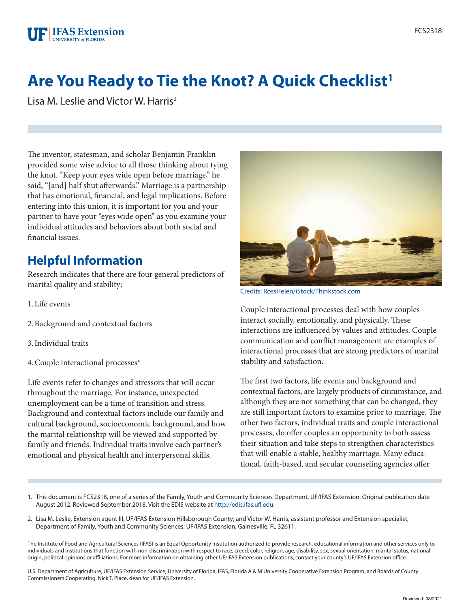# **Are You Ready to Tie the Knot? A Quick Checklist<sup>1</sup>**

Lisa M. Leslie and Victor W. Harris<sup>2</sup>

The inventor, statesman, and scholar Benjamin Franklin provided some wise advice to all those thinking about tying the knot. "Keep your eyes wide open before marriage," he said, "[and] half shut afterwards." Marriage is a partnership that has emotional, financial, and legal implications. Before entering into this union, it is important for you and your partner to have your "eyes wide open" as you examine your individual attitudes and behaviors about both social and financial issues.

# **Helpful Information**

Research indicates that there are four general predictors of marital quality and stability:

- 1.Life events
- 2.Background and contextual factors
- 3.Individual traits
- 4.Couple interactional processes\*

Life events refer to changes and stressors that will occur throughout the marriage. For instance, unexpected unemployment can be a time of transition and stress. Background and contextual factors include our family and cultural background, socioeconomic background, and how the marital relationship will be viewed and supported by family and friends. Individual traits involve each partner's emotional and physical health and interpersonal skills.



Credits: RossHelen/iStock/Thinkstock.com

Couple interactional processes deal with how couples interact socially, emotionally, and physically. These interactions are influenced by values and attitudes. Couple communication and conflict management are examples of interactional processes that are strong predictors of marital stability and satisfaction.

The first two factors, life events and background and contextual factors, are largely products of circumstance, and although they are not something that can be changed, they are still important factors to examine prior to marriage. The other two factors, individual traits and couple interactional processes, do offer couples an opportunity to both assess their situation and take steps to strengthen characteristics that will enable a stable, healthy marriage. Many educational, faith-based, and secular counseling agencies offer

- 1. This document is FCS2318, one of a series of the Family, Youth and Community Sciences Department, UF/IFAS Extension. Original publication date August 2012. Reviewed September 2018. Visit the EDIS website at<http://edis.ifas.ufl.edu>.
- 2. Lisa M. Leslie, Extension agent III, UF/IFAS Extension Hillsborough County; and Victor W. Harris, assistant professor and Extension specialist; Department of Family, Youth and Community Sciences; UF/IFAS Extension, Gainesville, FL 32611.

The Institute of Food and Agricultural Sciences (IFAS) is an Equal Opportunity Institution authorized to provide research, educational information and other services only to individuals and institutions that function with non-discrimination with respect to race, creed, color, religion, age, disability, sex, sexual orientation, marital status, national origin, political opinions or affiliations. For more information on obtaining other UF/IFAS Extension publications, contact your county's UF/IFAS Extension office.

U.S. Department of Agriculture, UF/IFAS Extension Service, University of Florida, IFAS, Florida A & M University Cooperative Extension Program, and Boards of County Commissioners Cooperating. Nick T. Place, dean for UF/IFAS Extension.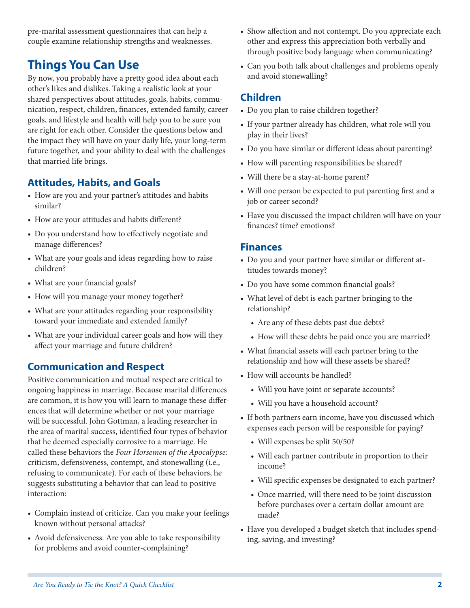pre-marital assessment questionnaires that can help a couple examine relationship strengths and weaknesses.

# **Things You Can Use**

By now, you probably have a pretty good idea about each other's likes and dislikes. Taking a realistic look at your shared perspectives about attitudes, goals, habits, communication, respect, children, finances, extended family, career goals, and lifestyle and health will help you to be sure you are right for each other. Consider the questions below and the impact they will have on your daily life, your long-term future together, and your ability to deal with the challenges that married life brings.

### **Attitudes, Habits, and Goals**

- How are you and your partner's attitudes and habits similar?
- How are your attitudes and habits different?
- Do you understand how to effectively negotiate and manage differences?
- What are your goals and ideas regarding how to raise children?
- What are your financial goals?
- How will you manage your money together?
- What are your attitudes regarding your responsibility toward your immediate and extended family?
- What are your individual career goals and how will they affect your marriage and future children?

# **Communication and Respect**

Positive communication and mutual respect are critical to ongoing happiness in marriage. Because marital differences are common, it is how you will learn to manage these differences that will determine whether or not your marriage will be successful. John Gottman, a leading researcher in the area of marital success, identified four types of behavior that he deemed especially corrosive to a marriage. He called these behaviors the *Four Horsemen of the Apocalypse:* criticism, defensiveness, contempt, and stonewalling (i.e., refusing to communicate). For each of these behaviors, he suggests substituting a behavior that can lead to positive interaction:

- Complain instead of criticize. Can you make your feelings known without personal attacks?
- Avoid defensiveness. Are you able to take responsibility for problems and avoid counter-complaining?
- Show affection and not contempt. Do you appreciate each other and express this appreciation both verbally and through positive body language when communicating?
- Can you both talk about challenges and problems openly and avoid stonewalling?

#### **Children**

- Do you plan to raise children together?
- If your partner already has children, what role will you play in their lives?
- Do you have similar or different ideas about parenting?
- How will parenting responsibilities be shared?
- Will there be a stay-at-home parent?
- Will one person be expected to put parenting first and a job or career second?
- Have you discussed the impact children will have on your finances? time? emotions?

#### **Finances**

- Do you and your partner have similar or different attitudes towards money?
- Do you have some common financial goals?
- What level of debt is each partner bringing to the relationship?
	- Are any of these debts past due debts?
	- How will these debts be paid once you are married?
- What financial assets will each partner bring to the relationship and how will these assets be shared?
- How will accounts be handled?
	- Will you have joint or separate accounts?
	- Will you have a household account?
- If both partners earn income, have you discussed which expenses each person will be responsible for paying?
	- Will expenses be split 50/50?
	- Will each partner contribute in proportion to their income?
	- Will specific expenses be designated to each partner?
	- Once married, will there need to be joint discussion before purchases over a certain dollar amount are made?
- Have you developed a budget sketch that includes spending, saving, and investing?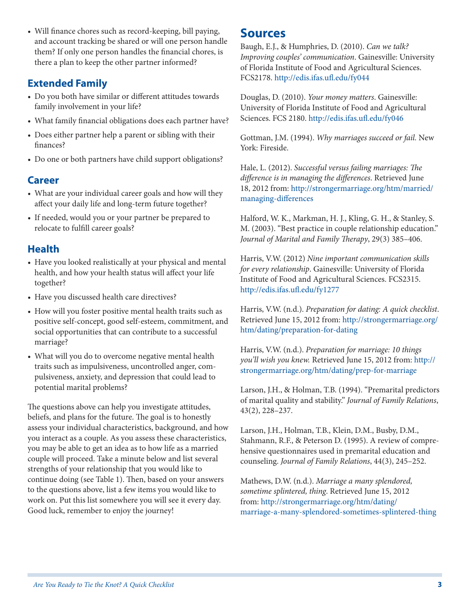• Will finance chores such as record-keeping, bill paying, and account tracking be shared or will one person handle them? If only one person handles the financial chores, is there a plan to keep the other partner informed?

# **Extended Family**

- Do you both have similar or different attitudes towards family involvement in your life?
- What family financial obligations does each partner have?
- Does either partner help a parent or sibling with their finances?
- Do one or both partners have child support obligations?

### **Career**

- What are your individual career goals and how will they affect your daily life and long-term future together?
- If needed, would you or your partner be prepared to relocate to fulfill career goals?

# **Health**

- Have you looked realistically at your physical and mental health, and how your health status will affect your life together?
- Have you discussed health care directives?
- How will you foster positive mental health traits such as positive self-concept, good self-esteem, commitment, and social opportunities that can contribute to a successful marriage?
- What will you do to overcome negative mental health traits such as impulsiveness, uncontrolled anger, compulsiveness, anxiety, and depression that could lead to potential marital problems?

The questions above can help you investigate attitudes, beliefs, and plans for the future. The goal is to honestly assess your individual characteristics, background, and how you interact as a couple. As you assess these characteristics, you may be able to get an idea as to how life as a married couple will proceed. Take a minute below and list several strengths of your relationship that you would like to continue doing (see Table 1). Then, based on your answers to the questions above, list a few items you would like to work on. Put this list somewhere you will see it every day. Good luck, remember to enjoy the journey!

# **Sources**

Baugh, E.J., & Humphries, D. (2010). *Can we talk? Improving couples' communication*. Gainesville: University of Florida Institute of Food and Agricultural Sciences. FCS2178. <http://edis.ifas.ufl.edu/fy044>

Douglas, D. (2010). *Your money matters*. Gainesville: University of Florida Institute of Food and Agricultural Sciences. FCS 2180.<http://edis.ifas.ufl.edu/fy046>

Gottman, J.M. (1994). *Why marriages succeed or fail.* New York: Fireside.

Hale, L. (2012). *Successful versus failing marriages: The difference is in managing the differences*. Retrieved June 18, 2012 from: [http://strongermarriage.org/htm/married/](http://strongermarriage.org/htm/married/managing-differences) [managing-differences](http://strongermarriage.org/htm/married/managing-differences)

Halford, W. K., Markman, H. J., Kling, G. H., & Stanley, S. M. (2003). "Best practice in couple relationship education." *Journal of Marital and Family Therapy*, 29(3) 385–406.

Harris, V.W. (2012) *Nine important communication skills for every relationship*. Gainesville: University of Florida Institute of Food and Agricultural Sciences. FCS2315. <http://edis.ifas.ufl.edu/fy1277>

Harris, V.W. (n.d.). *Preparation for dating: A quick checklist*. Retrieved June 15, 2012 from: [http://strongermarriage.org/](http://strongermarriage.org/htm/dating/preparation-for-dating) [htm/dating/preparation-for-dating](http://strongermarriage.org/htm/dating/preparation-for-dating)

Harris, V.W. (n.d.). *Preparation for marriage: 10 things you'll wish you knew.* Retrieved June 15, 2012 from: [http://](http://strongermarriage.org/htm/dating/prep-for-marriage) [strongermarriage.org/htm/dating/prep-for-marriage](http://strongermarriage.org/htm/dating/prep-for-marriage)

Larson, J.H., & Holman, T.B. (1994). "Premarital predictors of marital quality and stability." *Journal of Family Relations*, 43(2), 228–237.

Larson, J.H., Holman, T.B., Klein, D.M., Busby, D.M., Stahmann, R.F., & Peterson D. (1995). A review of comprehensive questionnaires used in premarital education and counseling. *Journal of Family Relations*, 44(3), 245–252.

Mathews, D.W. (n.d.). *Marriage a many splendored, sometime splintered, thing*. Retrieved June 15, 2012 from: [http://strongermarriage.org/htm/dating/](http://strongermarriage.org/htm/dating/marriage-a-many-splendored-sometimes-splintered-thing) [marriage-a-many-splendored-sometimes-splintered-thing](http://strongermarriage.org/htm/dating/marriage-a-many-splendored-sometimes-splintered-thing)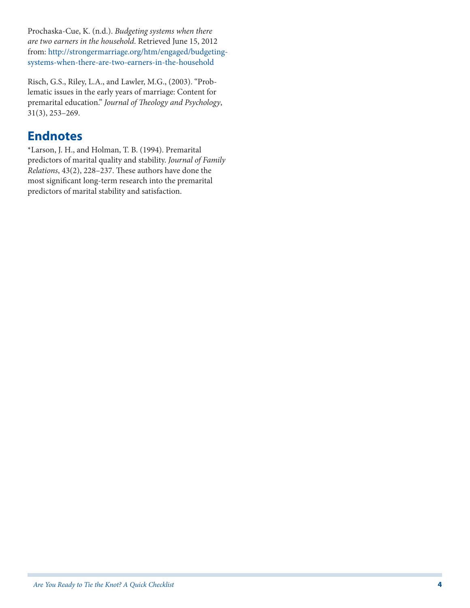Prochaska-Cue, K. (n.d.). *Budgeting systems when there are two earners in the household*. Retrieved June 15, 2012 from: [http://strongermarriage.org/htm/engaged/budgeting](http://strongermarriage.org/htm/engaged/budgeting-systems-when-there-are-two-earners-in-the-household)[systems-when-there-are-two-earners-in-the-household](http://strongermarriage.org/htm/engaged/budgeting-systems-when-there-are-two-earners-in-the-household)

Risch, G.S., Riley, L.A., and Lawler, M.G., (2003). "Problematic issues in the early years of marriage: Content for premarital education." *Journal of Theology and Psychology*, 31(3), 253–269.

# **Endnotes**

\*Larson, J. H., and Holman, T. B. (1994). Premarital predictors of marital quality and stability. *Journal of Family Relations*, 43(2), 228–237. These authors have done the most significant long-term research into the premarital predictors of marital stability and satisfaction.